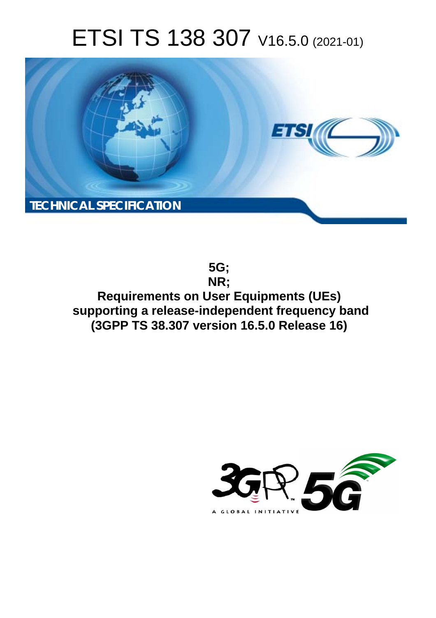# ETSI TS 138 307 V16.5.0 (2021-01)



**5G; NR; Requirements on User Equipments (UEs) supporting a release-independent frequency band (3GPP TS 38.307 version 16.5.0 Release 16)** 

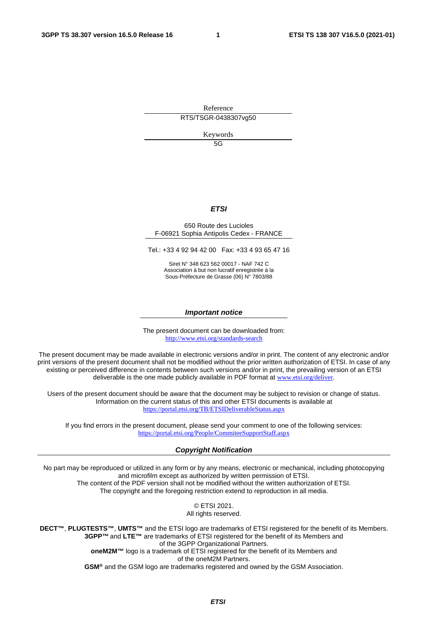Reference RTS/TSGR-0438307vg50

Keywords

5G

#### *ETSI*

#### 650 Route des Lucioles F-06921 Sophia Antipolis Cedex - FRANCE

Tel.: +33 4 92 94 42 00 Fax: +33 4 93 65 47 16

Siret N° 348 623 562 00017 - NAF 742 C Association à but non lucratif enregistrée à la Sous-Préfecture de Grasse (06) N° 7803/88

#### *Important notice*

The present document can be downloaded from: <http://www.etsi.org/standards-search>

The present document may be made available in electronic versions and/or in print. The content of any electronic and/or print versions of the present document shall not be modified without the prior written authorization of ETSI. In case of any existing or perceived difference in contents between such versions and/or in print, the prevailing version of an ETSI deliverable is the one made publicly available in PDF format at [www.etsi.org/deliver](http://www.etsi.org/deliver).

Users of the present document should be aware that the document may be subject to revision or change of status. Information on the current status of this and other ETSI documents is available at <https://portal.etsi.org/TB/ETSIDeliverableStatus.aspx>

If you find errors in the present document, please send your comment to one of the following services: <https://portal.etsi.org/People/CommiteeSupportStaff.aspx>

#### *Copyright Notification*

No part may be reproduced or utilized in any form or by any means, electronic or mechanical, including photocopying and microfilm except as authorized by written permission of ETSI. The content of the PDF version shall not be modified without the written authorization of ETSI. The copyright and the foregoing restriction extend to reproduction in all media.

> © ETSI 2021. All rights reserved.

**DECT™**, **PLUGTESTS™**, **UMTS™** and the ETSI logo are trademarks of ETSI registered for the benefit of its Members. **3GPP™** and **LTE™** are trademarks of ETSI registered for the benefit of its Members and of the 3GPP Organizational Partners. **oneM2M™** logo is a trademark of ETSI registered for the benefit of its Members and of the oneM2M Partners. **GSM®** and the GSM logo are trademarks registered and owned by the GSM Association.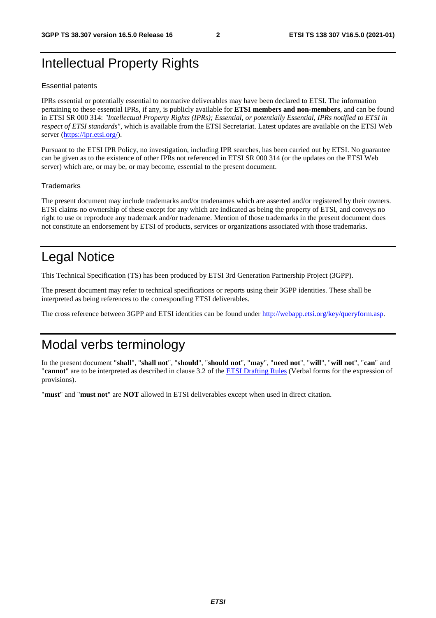### Intellectual Property Rights

#### Essential patents

IPRs essential or potentially essential to normative deliverables may have been declared to ETSI. The information pertaining to these essential IPRs, if any, is publicly available for **ETSI members and non-members**, and can be found in ETSI SR 000 314: *"Intellectual Property Rights (IPRs); Essential, or potentially Essential, IPRs notified to ETSI in respect of ETSI standards"*, which is available from the ETSI Secretariat. Latest updates are available on the ETSI Web server [\(https://ipr.etsi.org/](https://ipr.etsi.org/)).

Pursuant to the ETSI IPR Policy, no investigation, including IPR searches, has been carried out by ETSI. No guarantee can be given as to the existence of other IPRs not referenced in ETSI SR 000 314 (or the updates on the ETSI Web server) which are, or may be, or may become, essential to the present document.

#### **Trademarks**

The present document may include trademarks and/or tradenames which are asserted and/or registered by their owners. ETSI claims no ownership of these except for any which are indicated as being the property of ETSI, and conveys no right to use or reproduce any trademark and/or tradename. Mention of those trademarks in the present document does not constitute an endorsement by ETSI of products, services or organizations associated with those trademarks.

### Legal Notice

This Technical Specification (TS) has been produced by ETSI 3rd Generation Partnership Project (3GPP).

The present document may refer to technical specifications or reports using their 3GPP identities. These shall be interpreted as being references to the corresponding ETSI deliverables.

The cross reference between 3GPP and ETSI identities can be found under<http://webapp.etsi.org/key/queryform.asp>.

### Modal verbs terminology

In the present document "**shall**", "**shall not**", "**should**", "**should not**", "**may**", "**need not**", "**will**", "**will not**", "**can**" and "**cannot**" are to be interpreted as described in clause 3.2 of the [ETSI Drafting Rules](https://portal.etsi.org/Services/editHelp!/Howtostart/ETSIDraftingRules.aspx) (Verbal forms for the expression of provisions).

"**must**" and "**must not**" are **NOT** allowed in ETSI deliverables except when used in direct citation.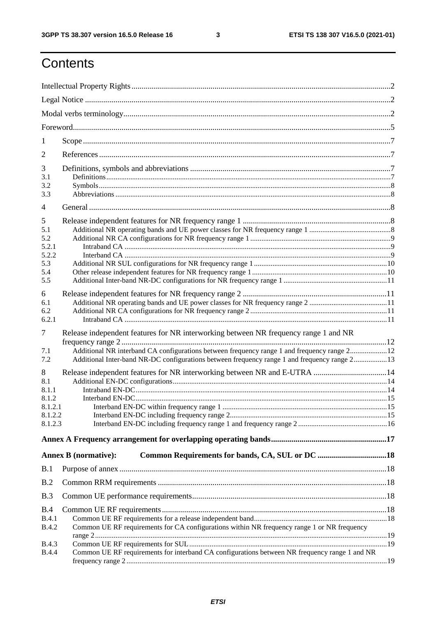$\mathbf{3}$ 

### Contents

| 1                                                           |                                                                                                                                                                                                                                                                                     |  |
|-------------------------------------------------------------|-------------------------------------------------------------------------------------------------------------------------------------------------------------------------------------------------------------------------------------------------------------------------------------|--|
| 2                                                           |                                                                                                                                                                                                                                                                                     |  |
| 3<br>3.1<br>3.2<br>3.3                                      |                                                                                                                                                                                                                                                                                     |  |
| $\overline{4}$                                              |                                                                                                                                                                                                                                                                                     |  |
| 5<br>5.1<br>5.2<br>5.2.1<br>5.2.2<br>5.3<br>5.4<br>5.5      |                                                                                                                                                                                                                                                                                     |  |
| 6<br>6.1<br>6.2<br>6.2.1                                    |                                                                                                                                                                                                                                                                                     |  |
| $\tau$<br>7.1<br>7.2                                        | Release independent features for NR interworking between NR frequency range 1 and NR<br>Additional NR interband CA configurations between frequency range 1 and frequency range 212<br>Additional Inter-band NR-DC configurations between frequency range 1 and frequency range 213 |  |
| 8<br>8.1<br>8.1.1<br>8.1.2<br>8.1.2.1<br>8.1.2.2<br>8.1.2.3 | Release independent features for NR interworking between NR and E-UTRA 14                                                                                                                                                                                                           |  |
|                                                             |                                                                                                                                                                                                                                                                                     |  |
|                                                             | <b>Annex B</b> (normative):                                                                                                                                                                                                                                                         |  |
| B.1                                                         |                                                                                                                                                                                                                                                                                     |  |
| B.2                                                         |                                                                                                                                                                                                                                                                                     |  |
| B.3                                                         |                                                                                                                                                                                                                                                                                     |  |
| B.4<br><b>B.4.1</b><br><b>B.4.2</b>                         | Common UE RF requirements for CA configurations within NR frequency range 1 or NR frequency                                                                                                                                                                                         |  |
| <b>B.4.3</b><br><b>B.4.4</b>                                | Common UE RF requirements for interband CA configurations between NR frequency range 1 and NR                                                                                                                                                                                       |  |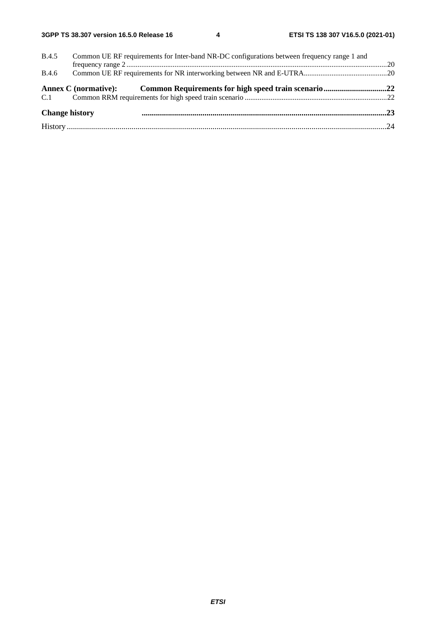| <b>B.4.5</b><br>Common UE RF requirements for Inter-band NR-DC configurations between frequency range 1 and |  |
|-------------------------------------------------------------------------------------------------------------|--|
|                                                                                                             |  |
| <b>B.4.6</b>                                                                                                |  |
| Annex C (normative): Common Requirements for high speed train scenario22                                    |  |
|                                                                                                             |  |
| <b>Change history</b>                                                                                       |  |
|                                                                                                             |  |
|                                                                                                             |  |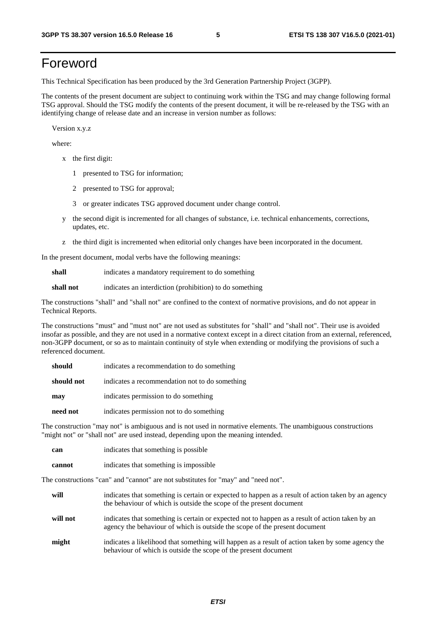### Foreword

This Technical Specification has been produced by the 3rd Generation Partnership Project (3GPP).

The contents of the present document are subject to continuing work within the TSG and may change following formal TSG approval. Should the TSG modify the contents of the present document, it will be re-released by the TSG with an identifying change of release date and an increase in version number as follows:

Version x.y.z

where:

- x the first digit:
	- 1 presented to TSG for information;
	- 2 presented to TSG for approval;
	- 3 or greater indicates TSG approved document under change control.
- y the second digit is incremented for all changes of substance, i.e. technical enhancements, corrections, updates, etc.
- z the third digit is incremented when editorial only changes have been incorporated in the document.

In the present document, modal verbs have the following meanings:

**shall** indicates a mandatory requirement to do something

**shall not** indicates an interdiction (prohibition) to do something

The constructions "shall" and "shall not" are confined to the context of normative provisions, and do not appear in Technical Reports.

The constructions "must" and "must not" are not used as substitutes for "shall" and "shall not". Their use is avoided insofar as possible, and they are not used in a normative context except in a direct citation from an external, referenced, non-3GPP document, or so as to maintain continuity of style when extending or modifying the provisions of such a referenced document.

| should     | indicates a recommendation to do something     |
|------------|------------------------------------------------|
| should not | indicates a recommendation not to do something |
| may        | indicates permission to do something           |
| need not   | indicates permission not to do something       |

The construction "may not" is ambiguous and is not used in normative elements. The unambiguous constructions "might not" or "shall not" are used instead, depending upon the meaning intended.

| can    | indicates that something is possible.  |
|--------|----------------------------------------|
| cannot | indicates that something is impossible |

The constructions "can" and "cannot" are not substitutes for "may" and "need not".

| will     | indicates that something is certain or expected to happen as a result of action taken by an agency<br>the behaviour of which is outside the scope of the present document     |
|----------|-------------------------------------------------------------------------------------------------------------------------------------------------------------------------------|
| will not | indicates that something is certain or expected not to happen as a result of action taken by an<br>agency the behaviour of which is outside the scope of the present document |
| might    | indicates a likelihood that something will happen as a result of action taken by some agency the<br>behaviour of which is outside the scope of the present document           |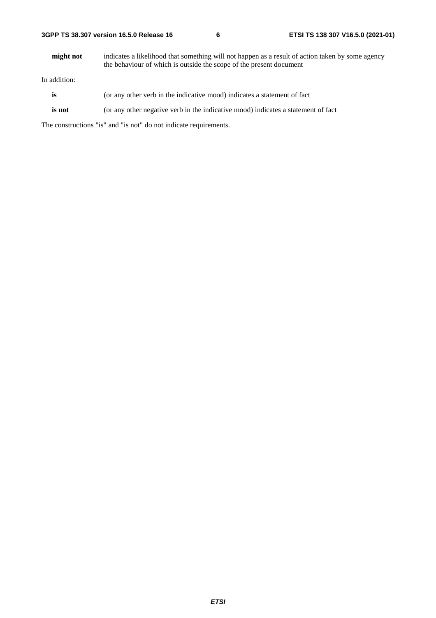**might not** indicates a likelihood that something will not happen as a result of action taken by some agency the behaviour of which is outside the scope of the present document

In addition:

- **is** (or any other verb in the indicative mood) indicates a statement of fact
- **is not** (or any other negative verb in the indicative mood) indicates a statement of fact

The constructions "is" and "is not" do not indicate requirements.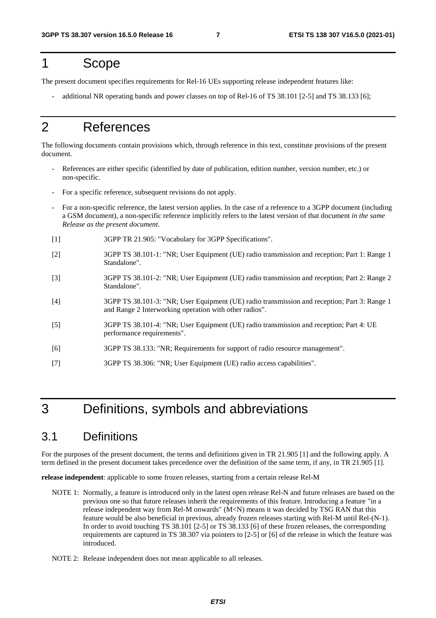### 1 Scope

The present document specifies requirements for Rel-16 UEs supporting release independent features like:

- additional NR operating bands and power classes on top of Rel-16 of TS 38.101 [2-5] and TS 38.133 [6];

### 2 References

The following documents contain provisions which, through reference in this text, constitute provisions of the present document.

- References are either specific (identified by date of publication, edition number, version number, etc.) or non-specific.
- For a specific reference, subsequent revisions do not apply.
- For a non-specific reference, the latest version applies. In the case of a reference to a 3GPP document (including a GSM document), a non-specific reference implicitly refers to the latest version of that document *in the same Release as the present document*.
- [1] 3GPP TR 21.905: "Vocabulary for 3GPP Specifications".
- [2] 3GPP TS 38.101-1: "NR; User Equipment (UE) radio transmission and reception; Part 1: Range 1 Standalone".
- [3] 3GPP TS 38.101-2: "NR; User Equipment (UE) radio transmission and reception; Part 2: Range 2 Standalone".
- [4] 3GPP TS 38.101-3: "NR; User Equipment (UE) radio transmission and reception; Part 3: Range 1 and Range 2 Interworking operation with other radios".
- [5] 3GPP TS 38.101-4: "NR; User Equipment (UE) radio transmission and reception; Part 4: UE performance requirements".
- [6] 3GPP TS 38.133: "NR; Requirements for support of radio resource management".
- [7] 3GPP TS 38.306: "NR; User Equipment (UE) radio access capabilities".

### 3 Definitions, symbols and abbreviations

#### 3.1 Definitions

For the purposes of the present document, the terms and definitions given in TR 21.905 [1] and the following apply. A term defined in the present document takes precedence over the definition of the same term, if any, in TR 21.905 [1].

**release independent**: applicable to some frozen releases, starting from a certain release Rel-M

- NOTE 1: Normally, a feature is introduced only in the latest open release Rel-N and future releases are based on the previous one so that future releases inherit the requirements of this feature. Introducing a feature "in a release independent way from Rel-M onwards"  $(M < N)$  means it was decided by TSG RAN that this feature would be also beneficial in previous, already frozen releases starting with Rel-M until Rel-(N-1). In order to avoid touching TS 38.101 [2-5] or TS 38.133 [6] of these frozen releases, the corresponding requirements are captured in TS 38.307 via pointers to [2-5] or [6] of the release in which the feature was introduced.
- NOTE 2: Release independent does not mean applicable to all releases.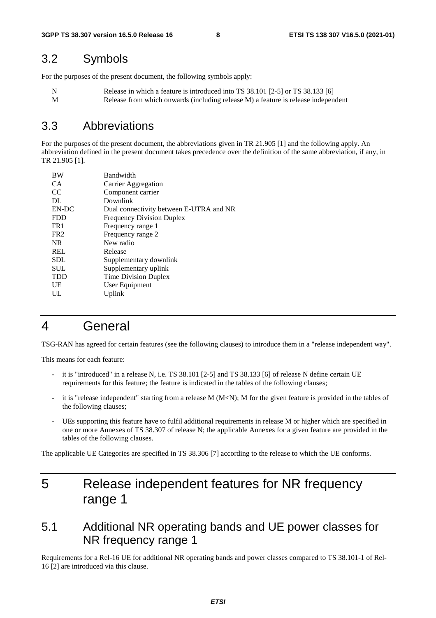#### 3.2 Symbols

For the purposes of the present document, the following symbols apply:

N Release in which a feature is introduced into TS 38.101 [2-5] or TS 38.133 [6] M Release from which onwards (including release M) a feature is release independent

#### 3.3 Abbreviations

For the purposes of the present document, the abbreviations given in TR 21.905 [1] and the following apply. An abbreviation defined in the present document takes precedence over the definition of the same abbreviation, if any, in TR 21.905 [1].

| <b>BW</b>       | Bandwidth                               |
|-----------------|-----------------------------------------|
| CA.             | Carrier Aggregation                     |
| <sub>CC</sub>   | Component carrier                       |
| DL              | Downlink                                |
| EN-DC           | Dual connectivity between E-UTRA and NR |
| <b>FDD</b>      | <b>Frequency Division Duplex</b>        |
| FR <sub>1</sub> | Frequency range 1                       |
| FR <sub>2</sub> | Frequency range 2                       |
| <b>NR</b>       | New radio                               |
| <b>REL</b>      | Release                                 |
| <b>SDL</b>      | Supplementary downlink                  |
| <b>SUL</b>      | Supplementary uplink                    |
| <b>TDD</b>      | Time Division Duplex                    |
| UE              | User Equipment                          |
| UL              | Uplink                                  |

### 4 General

TSG-RAN has agreed for certain features (see the following clauses) to introduce them in a "release independent way".

This means for each feature:

- it is "introduced" in a release N, i.e. TS 38.101 [2-5] and TS 38.133 [6] of release N define certain UE requirements for this feature; the feature is indicated in the tables of the following clauses;
- it is "release independent" starting from a release  $M$  (M<N); M for the given feature is provided in the tables of the following clauses;
- UEs supporting this feature have to fulfil additional requirements in release M or higher which are specified in one or more Annexes of TS 38.307 of release N; the applicable Annexes for a given feature are provided in the tables of the following clauses.

The applicable UE Categories are specified in TS 38.306 [7] according to the release to which the UE conforms.

### 5 Release independent features for NR frequency range 1

#### 5.1 Additional NR operating bands and UE power classes for NR frequency range 1

Requirements for a Rel-16 UE for additional NR operating bands and power classes compared to TS 38.101-1 of Rel-16 [2] are introduced via this clause.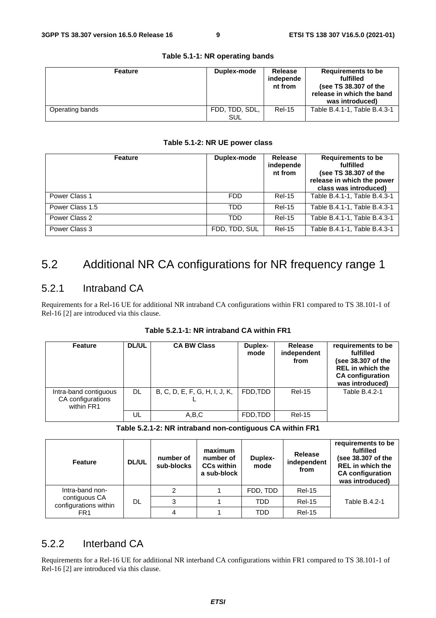| <b>Feature</b>  | Duplex-mode           | <b>Release</b><br>independe<br>nt from | Requirements to be<br>fulfilled<br>(see TS 38.307 of the<br>release in which the band<br>was introduced) |
|-----------------|-----------------------|----------------------------------------|----------------------------------------------------------------------------------------------------------|
| Operating bands | FDD. TDD. SDL.<br>SUL | <b>Rel-15</b>                          | Table B.4.1-1. Table B.4.3-1                                                                             |

#### **Table 5.1-1: NR operating bands**

#### **Table 5.1-2: NR UE power class**

| <b>Feature</b>  | Duplex-mode   | Release<br>independe<br>nt from | <b>Requirements to be</b><br>fulfilled<br>(see TS 38.307 of the<br>release in which the power<br>class was introduced) |  |
|-----------------|---------------|---------------------------------|------------------------------------------------------------------------------------------------------------------------|--|
| Power Class 1   | <b>FDD</b>    | <b>Rel-15</b>                   | Table B.4.1-1, Table B.4.3-1                                                                                           |  |
| Power Class 1.5 | TDD           | <b>Rel-15</b>                   | Table B.4.1-1, Table B.4.3-1                                                                                           |  |
| Power Class 2   | TDD           | <b>Rel-15</b>                   | Table B.4.1-1, Table B.4.3-1                                                                                           |  |
| Power Class 3   | FDD, TDD, SUL | <b>Rel-15</b>                   | Table B.4.1-1, Table B.4.3-1                                                                                           |  |

### 5.2 Additional NR CA configurations for NR frequency range 1

#### 5.2.1 Intraband CA

Requirements for a Rel-16 UE for additional NR intraband CA configurations within FR1 compared to TS 38.101-1 of Rel-16 [2] are introduced via this clause.

| <b>Feature</b>                                           | <b>DL/UL</b> | <b>CA BW Class</b>            | Duplex-<br>mode | Release<br>independent<br>from | requirements to be<br>fulfilled<br>(see 38.307 of the<br><b>REL</b> in which the<br><b>CA</b> configuration<br>was introduced) |
|----------------------------------------------------------|--------------|-------------------------------|-----------------|--------------------------------|--------------------------------------------------------------------------------------------------------------------------------|
| Intra-band contiguous<br>CA configurations<br>within FR1 | DL.          | B, C, D, E, F, G, H, I, J, K, | FDD.TDD         | <b>Rel-15</b>                  | Table B.4.2-1                                                                                                                  |
|                                                          | UL           | A.B.C                         | FDD.TDD         | <b>Rel-15</b>                  |                                                                                                                                |

**Table 5.2.1-2: NR intraband non-contiguous CA within FR1** 

| <b>Feature</b>                         | number of<br><b>DL/UL</b><br>sub-blocks |   | maximum<br>number of<br><b>CCs within</b><br>a sub-block | Duplex-<br>mode | <b>Release</b><br>independent<br>from | requirements to be<br>fulfilled<br>(see 38.307 of the<br><b>REL</b> in which the<br><b>CA configuration</b><br>was introduced) |  |
|----------------------------------------|-----------------------------------------|---|----------------------------------------------------------|-----------------|---------------------------------------|--------------------------------------------------------------------------------------------------------------------------------|--|
| Intra-band non-                        |                                         |   |                                                          | FDD, TDD        | <b>Rel-15</b>                         |                                                                                                                                |  |
| contiguous CA<br>configurations within | DL<br>3                                 |   |                                                          | <b>TDD</b>      | <b>Rel-15</b>                         | Table B.4.2-1                                                                                                                  |  |
| FR <sub>1</sub>                        |                                         | 4 |                                                          | <b>TDD</b>      | <b>Rel-15</b>                         |                                                                                                                                |  |

#### 5.2.2 Interband CA

Requirements for a Rel-16 UE for additional NR interband CA configurations within FR1 compared to TS 38.101-1 of Rel-16 [2] are introduced via this clause.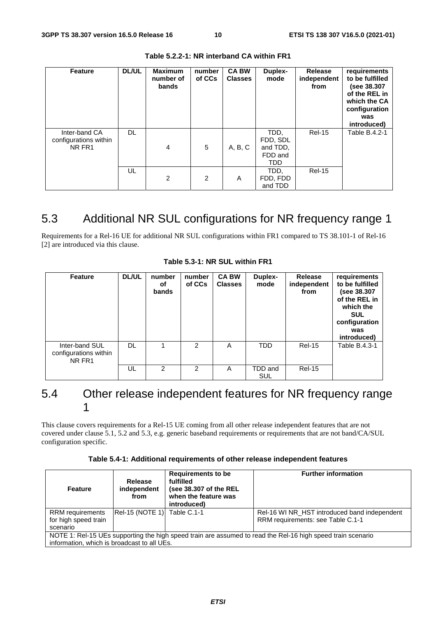| Feature                                          | DL/UL | <b>Maximum</b><br>number of<br>bands | number<br>of CCs | <b>CA BW</b><br><b>Classes</b> | Duplex-<br>mode                                | <b>Release</b><br>independent<br>from | requirements<br>to be fulfilled<br>(see 38.307<br>of the REL in<br>which the CA<br>configuration<br>was<br>introduced) |
|--------------------------------------------------|-------|--------------------------------------|------------------|--------------------------------|------------------------------------------------|---------------------------------------|------------------------------------------------------------------------------------------------------------------------|
| Inter-band CA<br>configurations within<br>NR FR1 | DL.   | $\overline{4}$                       | 5                | A, B, C                        | TDD.<br>FDD, SDL<br>and TDD,<br>FDD and<br>TDD | <b>Rel-15</b>                         | Table B.4.2-1                                                                                                          |
|                                                  | UL    | 2                                    | 2                | A                              | TDD,<br>FDD, FDD<br>and TDD                    | <b>Rel-15</b>                         |                                                                                                                        |

**Table 5.2.2-1: NR interband CA within FR1** 

### 5.3 Additional NR SUL configurations for NR frequency range 1

Requirements for a Rel-16 UE for additional NR SUL configurations within FR1 compared to TS 38.101-1 of Rel-16 [2] are introduced via this clause.

| Feature                                           | <b>DL/UL</b> | number<br>οf<br>bands | number<br>of CCs | <b>CA BW</b><br><b>Classes</b> | Duplex-<br>mode | <b>Release</b><br>independent<br>from | requirements<br>to be fulfilled<br>(see 38.307<br>of the REL in<br>which the<br><b>SUL</b><br>configuration<br>was<br>introduced) |
|---------------------------------------------------|--------------|-----------------------|------------------|--------------------------------|-----------------|---------------------------------------|-----------------------------------------------------------------------------------------------------------------------------------|
| Inter-band SUL<br>configurations within<br>NR FR1 | DL.          |                       | $\mathcal{P}$    | A                              | <b>TDD</b>      | <b>Rel-15</b>                         | Table B.4.3-1                                                                                                                     |
|                                                   | UL           | 2                     | $\mathcal{P}$    | A                              | TDD and<br>SUL  | <b>Rel-15</b>                         |                                                                                                                                   |

**Table 5.3-1: NR SUL within FR1** 

#### 5.4 Other release independent features for NR frequency range 1

This clause covers requirements for a Rel-15 UE coming from all other release independent features that are not covered under clause 5.1, 5.2 and 5.3, e.g. generic baseband requirements or requirements that are not band/CA/SUL configuration specific.

| <b>Feature</b>                                                                                              | Release<br>independent<br>from | <b>Requirements to be</b><br>fulfilled<br>(see 38.307 of the REL<br>when the feature was<br>introduced) | <b>Further information</b>                   |  |  |  |  |  |
|-------------------------------------------------------------------------------------------------------------|--------------------------------|---------------------------------------------------------------------------------------------------------|----------------------------------------------|--|--|--|--|--|
| <b>RRM</b> requirements                                                                                     | Rel-15 (NOTE 1) Table C.1-1    |                                                                                                         | Rel-16 WI NR HST introduced band independent |  |  |  |  |  |
| for high speed train                                                                                        |                                |                                                                                                         | RRM requirements: see Table C.1-1            |  |  |  |  |  |
| scenario                                                                                                    |                                |                                                                                                         |                                              |  |  |  |  |  |
| NOTE 1: Rel-15 UEs supporting the high speed train are assumed to read the Rel-16 high speed train scenario |                                |                                                                                                         |                                              |  |  |  |  |  |
| information, which is broadcast to all UEs.                                                                 |                                |                                                                                                         |                                              |  |  |  |  |  |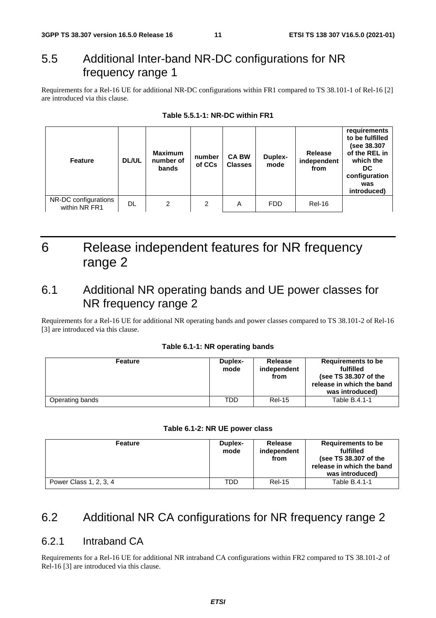### 5.5 Additional Inter-band NR-DC configurations for NR frequency range 1

Requirements for a Rel-16 UE for additional NR-DC configurations within FR1 compared to TS 38.101-1 of Rel-16 [2] are introduced via this clause.

| <b>Feature</b>                        | <b>DL/UL</b> | <b>Maximum</b><br>number of<br>bands | number<br>of CCs | <b>CA BW</b><br><b>Classes</b> | Duplex-<br>mode | Release<br>independent<br>from | requirements<br>to be fulfilled<br>(see 38.307<br>of the REL in<br>which the<br>DC.<br>configuration<br>was<br>introduced) |
|---------------------------------------|--------------|--------------------------------------|------------------|--------------------------------|-----------------|--------------------------------|----------------------------------------------------------------------------------------------------------------------------|
| NR-DC configurations<br>within NR FR1 | DL           | 2                                    | 2                | A                              | <b>FDD</b>      | <b>Rel-16</b>                  |                                                                                                                            |

### 6 Release independent features for NR frequency range 2

### 6.1 Additional NR operating bands and UE power classes for NR frequency range 2

Requirements for a Rel-16 UE for additional NR operating bands and power classes compared to TS 38.101-2 of Rel-16 [3] are introduced via this clause.

#### **Table 6.1-1: NR operating bands**

| <b>Feature</b>  | Duplex-<br>mode | <b>Release</b><br>independent<br>from | Requirements to be<br>fulfilled<br>(see TS 38.307 of the<br>release in which the band<br>was introduced) |
|-----------------|-----------------|---------------------------------------|----------------------------------------------------------------------------------------------------------|
| Operating bands | TDD             | <b>Rel-15</b>                         | Table B.4.1-1                                                                                            |

| Table 6.1-2: NR UE power class |  |
|--------------------------------|--|
|--------------------------------|--|

| <b>Feature</b>         | Duplex-<br>mode | <b>Release</b><br>independent<br>from | Requirements to be<br>fulfilled<br>(see TS 38.307 of the<br>release in which the band<br>was introduced) |
|------------------------|-----------------|---------------------------------------|----------------------------------------------------------------------------------------------------------|
| Power Class 1, 2, 3, 4 | TDD             | <b>Rel-15</b>                         | Table B.4.1-1                                                                                            |

#### 6.2 Additional NR CA configurations for NR frequency range 2

#### 6.2.1 Intraband CA

Requirements for a Rel-16 UE for additional NR intraband CA configurations within FR2 compared to TS 38.101-2 of Rel-16 [3] are introduced via this clause.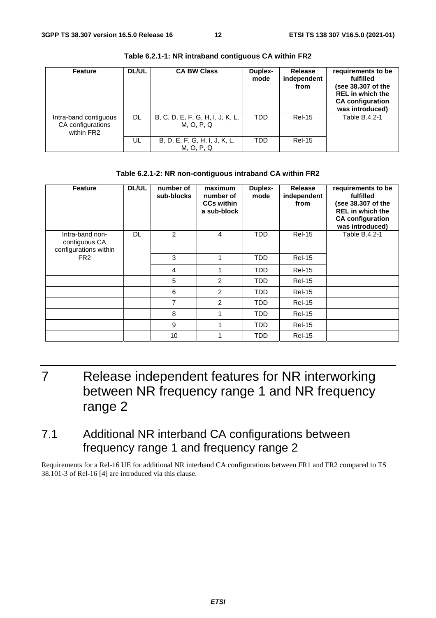| <b>Feature</b>                                           | <b>DL/UL</b> | <b>CA BW Class</b>                             | Duplex-<br>mode | <b>Release</b><br>independent<br>from | requirements to be<br>fulfilled<br>(see 38.307 of the<br><b>REL</b> in which the<br><b>CA</b> configuration<br>was introduced) |
|----------------------------------------------------------|--------------|------------------------------------------------|-----------------|---------------------------------------|--------------------------------------------------------------------------------------------------------------------------------|
| Intra-band contiguous<br>CA configurations<br>within FR2 | DL.          | B, C, D, E, F, G, H, I, J, K, L,<br>M, O, P, Q | TDD             | <b>Rel-15</b>                         | Table B.4.2-1                                                                                                                  |
|                                                          | UL           | B, D, E, F, G, H, I, J, K, L,<br>M, O, P, Q    | TDD             | <b>Rel-15</b>                         |                                                                                                                                |

**Table 6.2.1-1: NR intraband contiguous CA within FR2** 

#### **Table 6.2.1-2: NR non-contiguous intraband CA within FR2**

| <b>Feature</b>                                            | <b>DL/UL</b> | number of<br>sub-blocks | maximum<br>number of<br><b>CCs within</b><br>a sub-block | <b>Duplex-</b><br>mode | Release<br>independent<br>from | requirements to be<br>fulfilled<br>(see 38.307 of the<br><b>REL</b> in which the<br><b>CA configuration</b><br>was introduced) |
|-----------------------------------------------------------|--------------|-------------------------|----------------------------------------------------------|------------------------|--------------------------------|--------------------------------------------------------------------------------------------------------------------------------|
| Intra-band non-<br>contiguous CA<br>configurations within | DL           | $\overline{2}$          | 4                                                        | TDD                    | <b>Rel-15</b>                  | Table B.4.2-1                                                                                                                  |
| FR <sub>2</sub>                                           |              | 3                       |                                                          | <b>TDD</b>             | <b>Rel-15</b>                  |                                                                                                                                |
|                                                           |              | 4                       |                                                          | TDD                    | <b>Rel-15</b>                  |                                                                                                                                |
|                                                           |              | 5                       | 2                                                        | TDD                    | <b>Rel-15</b>                  |                                                                                                                                |
|                                                           |              | 6                       | 2                                                        | TDD                    | <b>Rel-15</b>                  |                                                                                                                                |
|                                                           |              | $\overline{7}$          | 2                                                        | TDD                    | <b>Rel-15</b>                  |                                                                                                                                |
|                                                           |              | 8                       |                                                          | TDD                    | <b>Rel-15</b>                  |                                                                                                                                |
|                                                           |              | 9                       |                                                          | TDD                    | <b>Rel-15</b>                  |                                                                                                                                |
|                                                           |              | 10                      |                                                          | TDD                    | <b>Rel-15</b>                  |                                                                                                                                |

### 7 Release independent features for NR interworking between NR frequency range 1 and NR frequency range 2

### 7.1 Additional NR interband CA configurations between frequency range 1 and frequency range 2

Requirements for a Rel-16 UE for additional NR interband CA configurations between FR1 and FR2 compared to TS 38.101-3 of Rel-16 [4] are introduced via this clause.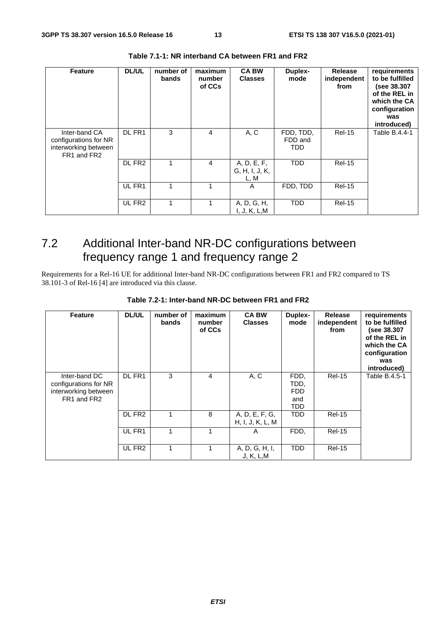| <b>Feature</b>                                                                | <b>DL/UL</b>       | number of<br>bands | maximum<br>number<br>of CCs | <b>CA BW</b><br><b>Classes</b>        | Duplex-<br>mode             | <b>Release</b><br>independent<br>from | requirements<br>to be fulfilled<br>(see 38.307<br>of the REL in<br>which the CA<br>configuration<br>was<br>introduced) |
|-------------------------------------------------------------------------------|--------------------|--------------------|-----------------------------|---------------------------------------|-----------------------------|---------------------------------------|------------------------------------------------------------------------------------------------------------------------|
| Inter-band CA<br>configurations for NR<br>interworking between<br>FR1 and FR2 | DL FR1             | 3                  | 4                           | A, C                                  | FDD, TDD,<br>FDD and<br>TDD | <b>Rel-15</b>                         | Table B.4.4-1                                                                                                          |
|                                                                               | DL FR <sub>2</sub> | 1                  | 4                           | A, D, E, F,<br>G, H, I, J, K,<br>L, M | <b>TDD</b>                  | <b>Rel-15</b>                         |                                                                                                                        |
|                                                                               | UL FR1             | 1                  | 1                           | A                                     | FDD, TDD                    | <b>Rel-15</b>                         |                                                                                                                        |
|                                                                               | UL FR <sub>2</sub> | 1                  |                             | A, D, G, H,<br>I, J, K, L, M          | <b>TDD</b>                  | <b>Rel-15</b>                         |                                                                                                                        |

**Table 7.1-1: NR interband CA between FR1 and FR2** 

### 7.2 Additional Inter-band NR-DC configurations between frequency range 1 and frequency range 2

Requirements for a Rel-16 UE for additional Inter-band NR-DC configurations between FR1 and FR2 compared to TS 38.101-3 of Rel-16 [4] are introduced via this clause.

| <b>Feature</b>                                                                | <b>DL/UL</b>       | number of<br>bands | maximum<br>number<br>of CCs | <b>CA BW</b><br><b>Classes</b>     | Duplex-<br>mode                                 | Release<br>independent<br>from | requirements<br>to be fulfilled<br>(see 38.307<br>of the REL in<br>which the CA<br>configuration<br>was<br>introduced) |
|-------------------------------------------------------------------------------|--------------------|--------------------|-----------------------------|------------------------------------|-------------------------------------------------|--------------------------------|------------------------------------------------------------------------------------------------------------------------|
| Inter-band DC<br>configurations for NR<br>interworking between<br>FR1 and FR2 | DL FR1             | 3                  | 4                           | A, C                               | FDD,<br>TDD.<br><b>FDD</b><br>and<br><b>TDD</b> | <b>Rel-15</b>                  | Table B.4.5-1                                                                                                          |
|                                                                               | DL FR <sub>2</sub> |                    | 8                           | A, D, E, F, G,<br>H, I, J, K, L, M | <b>TDD</b>                                      | <b>Rel-15</b>                  |                                                                                                                        |
|                                                                               | UL FR1             |                    | 1                           | A                                  | FDD,                                            | <b>Rel-15</b>                  |                                                                                                                        |
|                                                                               | UL FR <sub>2</sub> |                    | $\mathbf 1$                 | A, D, G, H, I,<br>J, K, L, M       | <b>TDD</b>                                      | <b>Rel-15</b>                  |                                                                                                                        |

**Table 7.2-1: Inter-band NR-DC between FR1 and FR2**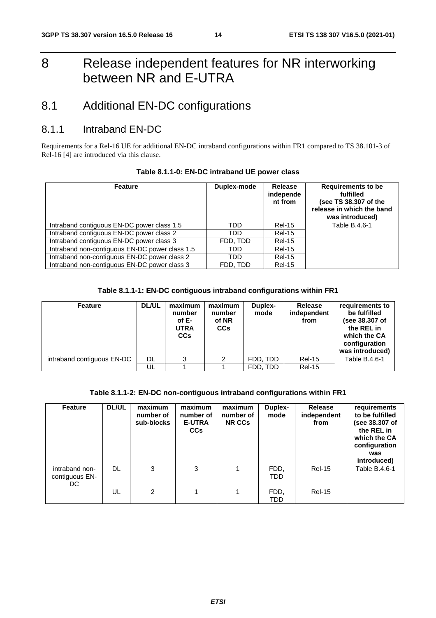### 8 Release independent features for NR interworking between NR and E-UTRA

### 8.1 Additional EN-DC configurations

#### 8.1.1 Intraband EN-DC

Requirements for a Rel-16 UE for additional EN-DC intraband configurations within FR1 compared to TS 38.101-3 of Rel-16 [4] are introduced via this clause.

| <b>Feature</b>                                 | Duplex-mode | <b>Release</b><br>independe<br>nt from | <b>Requirements to be</b><br>fulfilled<br>(see TS 38.307 of the<br>release in which the band<br>was introduced) |
|------------------------------------------------|-------------|----------------------------------------|-----------------------------------------------------------------------------------------------------------------|
| Intraband contiguous EN-DC power class 1.5     | TDD         | <b>Rel-15</b>                          | Table B.4.6-1                                                                                                   |
| Intraband contiguous EN-DC power class 2       | TDD         | <b>Rel-15</b>                          |                                                                                                                 |
| Intraband contiguous EN-DC power class 3       | FDD, TDD    | <b>Rel-15</b>                          |                                                                                                                 |
| Intraband non-contiguous EN-DC power class 1.5 | TDD         | <b>Rel-15</b>                          |                                                                                                                 |
| Intraband non-contiguous EN-DC power class 2   | TDD         | <b>Rel-15</b>                          |                                                                                                                 |
| Intraband non-contiguous EN-DC power class 3   | FDD, TDD    | <b>Rel-15</b>                          |                                                                                                                 |

#### **Table 8.1.1-0: EN-DC intraband UE power class**

#### **Table 8.1.1-1: EN-DC contiguous intraband configurations within FR1**

| <b>Feature</b>             | <b>DL/UL</b> | maximum<br>number<br>of E-<br><b>UTRA</b><br><b>CCs</b> | maximum<br>number<br>of NR<br>CCs | Duplex-<br>mode | <b>Release</b><br>independent<br>from | requirements to<br>be fulfilled<br>(see 38.307 of<br>the REL in<br>which the CA<br>configuration<br>was introduced) |
|----------------------------|--------------|---------------------------------------------------------|-----------------------------------|-----------------|---------------------------------------|---------------------------------------------------------------------------------------------------------------------|
| intraband contiguous EN-DC | DL.          | 3                                                       | 2                                 | FDD. TDD        | <b>Rel-15</b>                         | Table B.4.6-1                                                                                                       |
|                            | UL           |                                                         |                                   | FDD. TDD        | <b>Rel-15</b>                         |                                                                                                                     |

#### **Table 8.1.1-2: EN-DC non-contiguous intraband configurations within FR1**

| <b>Feature</b>                         | <b>DL/UL</b> | maximum<br>number of<br>sub-blocks | maximum<br>number of<br><b>E-UTRA</b><br><b>CCs</b> | maximum<br>number of<br><b>NR CCs</b> | Duplex-<br>mode    | Release<br>independent<br>from | requirements<br>to be fulfilled<br>(see 38.307 of<br>the REL in<br>which the CA<br>configuration<br>was<br>introduced) |
|----------------------------------------|--------------|------------------------------------|-----------------------------------------------------|---------------------------------------|--------------------|--------------------------------|------------------------------------------------------------------------------------------------------------------------|
| intraband non-<br>contiguous EN-<br>DC | <b>DL</b>    | 3                                  | 3                                                   |                                       | FDD,<br><b>TDD</b> | <b>Rel-15</b>                  | Table B.4.6-1                                                                                                          |
|                                        | UL           | 2                                  |                                                     |                                       | FDD,<br><b>TDD</b> | <b>Rel-15</b>                  |                                                                                                                        |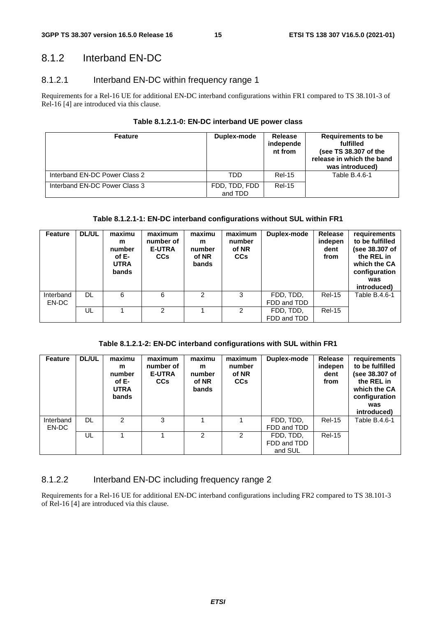#### 8.1.2 Interband EN-DC

#### 8.1.2.1 Interband EN-DC within frequency range 1

Requirements for a Rel-16 UE for additional EN-DC interband configurations within FR1 compared to TS 38.101-3 of Rel-16 [4] are introduced via this clause.

| Table 8.1.2.1-0: EN-DC interband UE power class |  |
|-------------------------------------------------|--|
|-------------------------------------------------|--|

| <b>Feature</b>                | Duplex-mode              | Release<br>independe<br>nt from | Requirements to be<br>fulfilled<br>(see TS 38.307 of the<br>release in which the band<br>was introduced) |  |
|-------------------------------|--------------------------|---------------------------------|----------------------------------------------------------------------------------------------------------|--|
| Interband EN-DC Power Class 2 | TDD                      | <b>Rel-15</b>                   | Table B.4.6-1                                                                                            |  |
| Interband EN-DC Power Class 3 | FDD, TDD, FDD<br>and TDD | <b>Rel-15</b>                   |                                                                                                          |  |

#### **Table 8.1.2.1-1: EN-DC interband configurations without SUL within FR1**

| <b>Feature</b>     | <b>DL/UL</b> | maximu<br>m<br>number<br>of E-<br><b>UTRA</b><br><b>bands</b> | maximum<br>number of<br><b>E-UTRA</b><br><b>CCs</b> | maximu<br>m<br>number<br>of NR<br>bands | maximum<br>number<br>of NR<br><b>CCs</b> | Duplex-mode              | Release<br>indepen<br>dent<br>from | requirements<br>to be fulfilled<br>(see 38.307 of<br>the REL in<br>which the CA<br>configuration<br>was<br>introduced) |
|--------------------|--------------|---------------------------------------------------------------|-----------------------------------------------------|-----------------------------------------|------------------------------------------|--------------------------|------------------------------------|------------------------------------------------------------------------------------------------------------------------|
| Interband<br>EN-DC | DL           | 6                                                             | 6                                                   | 2                                       | 3                                        | FDD, TDD,<br>FDD and TDD | <b>Rel-15</b>                      | Table B.4.6-1                                                                                                          |
|                    | UL           |                                                               | 2                                                   |                                         | $\mathcal{P}$                            | FDD, TDD,<br>FDD and TDD | <b>Rel-15</b>                      |                                                                                                                        |

**Table 8.1.2.1-2: EN-DC interband configurations with SUL within FR1** 

| <b>Feature</b>     | <b>DL/UL</b> | maximu<br>m<br>number<br>of E-<br><b>UTRA</b><br><b>bands</b> | maximum<br>number of<br><b>E-UTRA</b><br><b>CCs</b> | maximu<br>m<br>number<br>of NR<br>bands | maximum<br>number<br>of NR<br><b>CCs</b> | Duplex-mode                         | Release<br>indepen<br>dent<br>from | requirements<br>to be fulfilled<br>(see 38.307 of<br>the REL in<br>which the CA<br>configuration<br>was<br>introduced) |
|--------------------|--------------|---------------------------------------------------------------|-----------------------------------------------------|-----------------------------------------|------------------------------------------|-------------------------------------|------------------------------------|------------------------------------------------------------------------------------------------------------------------|
| Interband<br>EN-DC | DL           | $\mathcal{P}$                                                 | 3                                                   |                                         |                                          | FDD, TDD,<br>FDD and TDD            | <b>Rel-15</b>                      | Table B.4.6-1                                                                                                          |
|                    | UL           |                                                               |                                                     | $\mathcal{P}$                           | $\mathcal{P}$                            | FDD, TDD,<br>FDD and TDD<br>and SUL | <b>Rel-15</b>                      |                                                                                                                        |

#### 8.1.2.2 Interband EN-DC including frequency range 2

Requirements for a Rel-16 UE for additional EN-DC interband configurations including FR2 compared to TS 38.101-3 of Rel-16 [4] are introduced via this clause.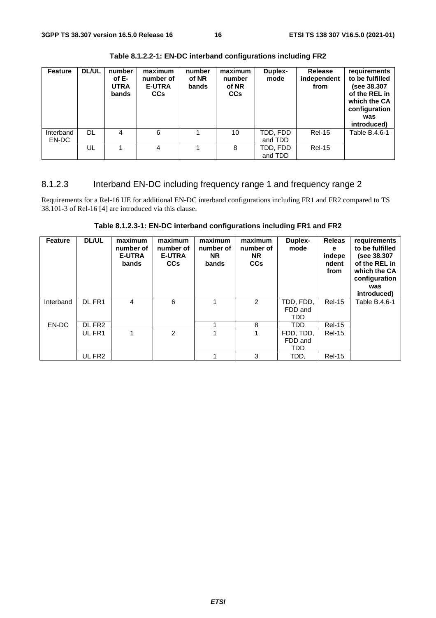| <b>Feature</b>     | <b>DL/UL</b> | number<br>of E-<br><b>UTRA</b><br>bands | maximum<br>number of<br><b>E-UTRA</b><br><b>CCs</b> | number<br>of NR<br>bands | maximum<br>number<br>of NR<br><b>CCs</b> | Duplex-<br>mode     | <b>Release</b><br>independent<br>from | requirements<br>to be fulfilled<br>(see 38.307<br>of the REL in<br>which the CA<br>configuration<br>was<br>introduced) |
|--------------------|--------------|-----------------------------------------|-----------------------------------------------------|--------------------------|------------------------------------------|---------------------|---------------------------------------|------------------------------------------------------------------------------------------------------------------------|
| Interband<br>EN-DC | <b>DL</b>    | 4                                       | 6                                                   |                          | 10                                       | TDD, FDD<br>and TDD | <b>Rel-15</b>                         | Table B.4.6-1                                                                                                          |
|                    | UL           |                                         | 4                                                   |                          | 8                                        | TDD. FDD<br>and TDD | <b>Rel-15</b>                         |                                                                                                                        |

**Table 8.1.2.2-1: EN-DC interband configurations including FR2** 

#### 8.1.2.3 Interband EN-DC including frequency range 1 and frequency range 2

Requirements for a Rel-16 UE for additional EN-DC interband configurations including FR1 and FR2 compared to TS 38.101-3 of Rel-16 [4] are introduced via this clause.

**Table 8.1.2.3-1: EN-DC interband configurations including FR1 and FR2** 

| <b>Feature</b> | <b>DL/UL</b>       | maximum       | maximum       | maximum   | maximum       | Duplex-   | <b>Releas</b> | requirements    |
|----------------|--------------------|---------------|---------------|-----------|---------------|-----------|---------------|-----------------|
|                |                    | number of     | number of     | number of | number of     | mode      | е             | to be fulfilled |
|                |                    | <b>E-UTRA</b> | <b>E-UTRA</b> | <b>NR</b> | <b>NR</b>     |           | indepe        | (see 38.307     |
|                |                    | bands         | <b>CCs</b>    | bands     | <b>CCs</b>    |           | ndent         | of the REL in   |
|                |                    |               |               |           |               |           | from          | which the CA    |
|                |                    |               |               |           |               |           |               | configuration   |
|                |                    |               |               |           |               |           |               |                 |
|                |                    |               |               |           |               |           |               | was             |
|                |                    |               |               |           |               |           |               | introduced)     |
| Interband      | DL FR1             | 4             | 6             |           | $\mathcal{P}$ | TDD, FDD, | <b>Rel-15</b> | Table B.4.6-1   |
|                |                    |               |               |           |               | FDD and   |               |                 |
|                |                    |               |               |           |               | TDD       |               |                 |
| EN-DC          | DL FR <sub>2</sub> |               |               |           | 8             | TDD       | <b>Rel-15</b> |                 |
|                | UL FR1             | 1             | $\mathcal{P}$ |           |               | FDD, TDD, | <b>Rel-15</b> |                 |
|                |                    |               |               |           |               | FDD and   |               |                 |
|                |                    |               |               |           |               | TDD       |               |                 |
|                | UL FR <sub>2</sub> |               |               |           | 3             | TDD,      | <b>Rel-15</b> |                 |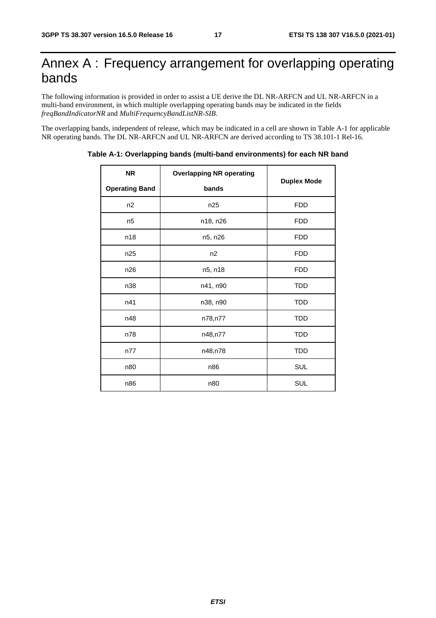### Annex A : Frequency arrangement for overlapping operating bands

The following information is provided in order to assist a UE derive the DL NR-ARFCN and UL NR-ARFCN in a multi-band environment, in which multiple overlapping operating bands may be indicated in the fields *freqBandIndicatorNR* and *MultiFrequencyBandListNR-SIB*.

The overlapping bands, independent of release, which may be indicated in a cell are shown in Table A-1 for applicable NR operating bands. The DL NR-ARFCN and UL NR-ARFCN are derived according to TS 38.101-1 Rel-16.

| <b>NR</b>             | <b>Overlapping NR operating</b> |                    |
|-----------------------|---------------------------------|--------------------|
| <b>Operating Band</b> | bands                           | <b>Duplex Mode</b> |
| n2                    | n25                             | <b>FDD</b>         |
| n <sub>5</sub>        | n18, n26                        | <b>FDD</b>         |
| n18                   | n5, n26                         | <b>FDD</b>         |
| n25                   | n2                              | <b>FDD</b>         |
| n26                   | n5, n18                         | <b>FDD</b>         |
| n38                   | n41, n90                        | <b>TDD</b>         |
| n41                   | n38, n90                        | <b>TDD</b>         |
| n48                   | n78,n77                         | <b>TDD</b>         |
| n78                   | n48,n77                         | <b>TDD</b>         |
| n77                   | n48,n78                         | <b>TDD</b>         |
| n80                   | n86                             | <b>SUL</b>         |
| n86                   | n80                             | SUL                |

**Table A-1: Overlapping bands (multi-band environments) for each NR band**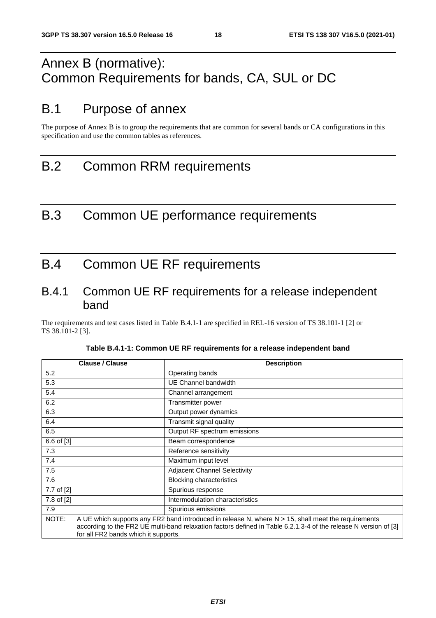### Annex B (normative): Common Requirements for bands, CA, SUL or DC

### B.1 Purpose of annex

The purpose of Annex B is to group the requirements that are common for several bands or CA configurations in this specification and use the common tables as references.

### B.2 Common RRM requirements

### B.3 Common UE performance requirements

### B.4 Common UE RF requirements

#### B.4.1 Common UE RF requirements for a release independent band

The requirements and test cases listed in Table B.4.1-1 are specified in REL-16 version of TS 38.101-1 [2] or TS 38.101-2 [3].

| <b>Clause / Clause</b>                        | <b>Description</b>                                                                                                                                                                                                         |
|-----------------------------------------------|----------------------------------------------------------------------------------------------------------------------------------------------------------------------------------------------------------------------------|
| 5.2                                           | Operating bands                                                                                                                                                                                                            |
| 5.3                                           | UE Channel bandwidth                                                                                                                                                                                                       |
| 5.4                                           | Channel arrangement                                                                                                                                                                                                        |
| 6.2                                           | Transmitter power                                                                                                                                                                                                          |
| 6.3                                           | Output power dynamics                                                                                                                                                                                                      |
| 6.4                                           | Transmit signal quality                                                                                                                                                                                                    |
| 6.5                                           | Output RF spectrum emissions                                                                                                                                                                                               |
| 6.6 of [3]                                    | Beam correspondence                                                                                                                                                                                                        |
| 7.3                                           | Reference sensitivity                                                                                                                                                                                                      |
| 7.4                                           | Maximum input level                                                                                                                                                                                                        |
| 7.5                                           | <b>Adjacent Channel Selectivity</b>                                                                                                                                                                                        |
| 7.6                                           | <b>Blocking characteristics</b>                                                                                                                                                                                            |
| 7.7 of [2]                                    | Spurious response                                                                                                                                                                                                          |
| 7.8 of [2]                                    | Intermodulation characteristics                                                                                                                                                                                            |
| 7.9                                           | Spurious emissions                                                                                                                                                                                                         |
| NOTE:<br>for all FR2 bands which it supports. | A UE which supports any FR2 band introduced in release N, where $N > 15$ , shall meet the requirements<br>according to the FR2 UE multi-band relaxation factors defined in Table 6.2.1.3-4 of the release N version of [3] |

| Table B.4.1-1: Common UE RF requirements for a release independent band |  |
|-------------------------------------------------------------------------|--|
|-------------------------------------------------------------------------|--|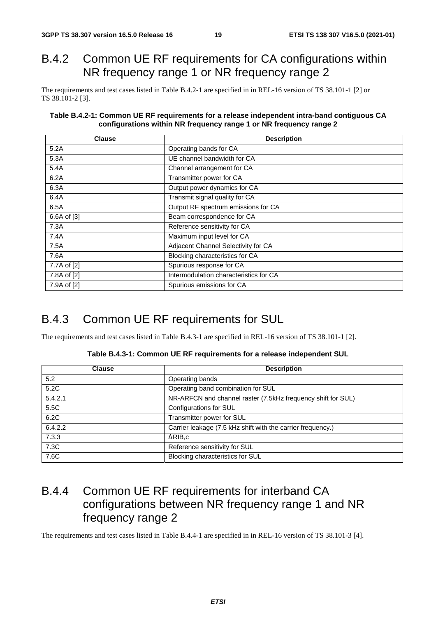### B.4.2 Common UE RF requirements for CA configurations within NR frequency range 1 or NR frequency range 2

The requirements and test cases listed in Table B.4.2-1 are specified in in REL-16 version of TS 38.101-1 [2] or TS 38.101-2 [3].

#### **Table B.4.2-1: Common UE RF requirements for a release independent intra-band contiguous CA configurations within NR frequency range 1 or NR frequency range 2**

| <b>Clause</b> | <b>Description</b>                     |
|---------------|----------------------------------------|
| 5.2A          | Operating bands for CA                 |
| 5.3A          | UE channel bandwidth for CA            |
| 5.4A          | Channel arrangement for CA             |
| 6.2A          | Transmitter power for CA               |
| 6.3A          | Output power dynamics for CA           |
| 6.4A          | Transmit signal quality for CA         |
| 6.5A          | Output RF spectrum emissions for CA    |
| 6.6A of [3]   | Beam correspondence for CA             |
| 7.3A          | Reference sensitivity for CA           |
| 7.4A          | Maximum input level for CA             |
| 7.5A          | Adjacent Channel Selectivity for CA    |
| 7.6A          | Blocking characteristics for CA        |
| 7.7A of [2]   | Spurious response for CA               |
| 7.8A of [2]   | Intermodulation characteristics for CA |
| 7.9A of [2]   | Spurious emissions for CA              |

#### B.4.3 Common UE RF requirements for SUL

The requirements and test cases listed in Table B.4.3-1 are specified in REL-16 version of TS 38.101-1 [2].

| Table B.4.3-1: Common UE RF requirements for a release independent SUL |
|------------------------------------------------------------------------|
|                                                                        |

| <b>Clause</b> | <b>Description</b>                                           |
|---------------|--------------------------------------------------------------|
| 5.2           | Operating bands                                              |
| 5.2C          | Operating band combination for SUL                           |
| 5.4.2.1       | NR-ARFCN and channel raster (7.5kHz frequency shift for SUL) |
| 5.5C          | Configurations for SUL                                       |
| 6.2C          | Transmitter power for SUL                                    |
| 6.4.2.2       | Carrier leakage (7.5 kHz shift with the carrier frequency.)  |
| 7.3.3         | $\triangle RIB.c$                                            |
| 7.3C          | Reference sensitivity for SUL                                |
| 7.6C          | Blocking characteristics for SUL                             |

#### B.4.4 Common UE RF requirements for interband CA configurations between NR frequency range 1 and NR frequency range 2

The requirements and test cases listed in Table B.4.4-1 are specified in in REL-16 version of TS 38.101-3 [4].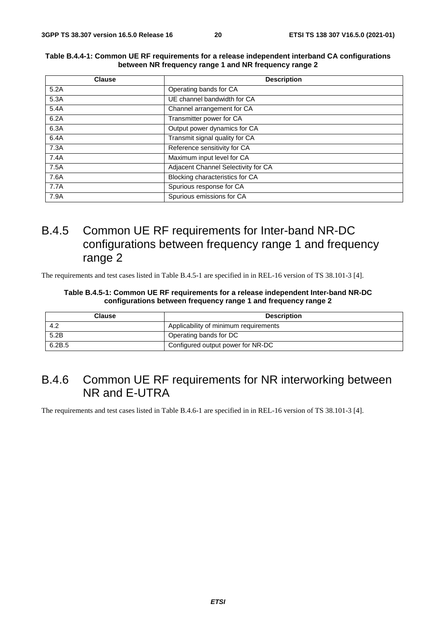| <b>Clause</b> | <b>Description</b>                  |  |  |  |
|---------------|-------------------------------------|--|--|--|
| 5.2A          | Operating bands for CA              |  |  |  |
| 5.3A          | UE channel bandwidth for CA         |  |  |  |
| 5.4A          | Channel arrangement for CA          |  |  |  |
| 6.2A          | Transmitter power for CA            |  |  |  |
| 6.3A          | Output power dynamics for CA        |  |  |  |
| 6.4A          | Transmit signal quality for CA      |  |  |  |
| 7.3A          | Reference sensitivity for CA        |  |  |  |
| 7.4A          | Maximum input level for CA          |  |  |  |
| 7.5A          | Adjacent Channel Selectivity for CA |  |  |  |
| 7.6A          | Blocking characteristics for CA     |  |  |  |
| 7.7A          | Spurious response for CA            |  |  |  |
| 7.9A          | Spurious emissions for CA           |  |  |  |

#### **Table B.4.4-1: Common UE RF requirements for a release independent interband CA configurations between NR frequency range 1 and NR frequency range 2**

#### B.4.5 Common UE RF requirements for Inter-band NR-DC configurations between frequency range 1 and frequency range 2

The requirements and test cases listed in Table B.4.5-1 are specified in in REL-16 version of TS 38.101-3 [4].

#### **Table B.4.5-1: Common UE RF requirements for a release independent Inter-band NR-DC configurations between frequency range 1 and frequency range 2**

| <b>Clause</b> | <b>Description</b>                    |
|---------------|---------------------------------------|
| 4.2           | Applicability of minimum requirements |
| 5.2B          | Operating bands for DC                |
| 6.2B.5        | Configured output power for NR-DC     |

#### B.4.6 Common UE RF requirements for NR interworking between NR and E-UTRA

The requirements and test cases listed in Table B.4.6-1 are specified in in REL-16 version of TS 38.101-3 [4].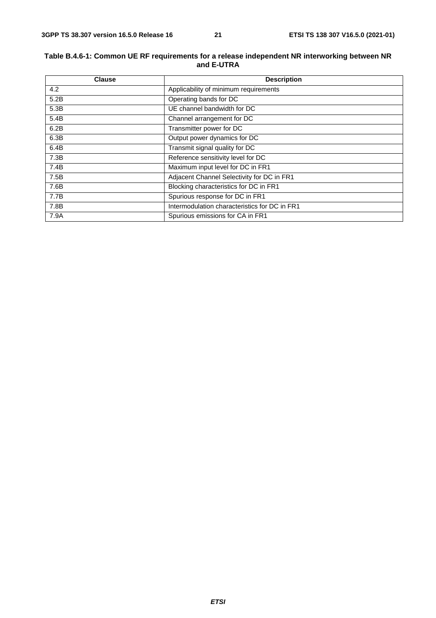#### **Table B.4.6-1: Common UE RF requirements for a release independent NR interworking between NR and E-UTRA**

| <b>Clause</b> | <b>Description</b>                            |  |  |
|---------------|-----------------------------------------------|--|--|
| 4.2           | Applicability of minimum requirements         |  |  |
| 5.2B          | Operating bands for DC                        |  |  |
| 5.3B          | UE channel bandwidth for DC                   |  |  |
| 5.4B          | Channel arrangement for DC                    |  |  |
| 6.2B          | Transmitter power for DC                      |  |  |
| 6.3B          | Output power dynamics for DC                  |  |  |
| 6.4B          | Transmit signal quality for DC                |  |  |
| 7.3B          | Reference sensitivity level for DC            |  |  |
| 7.4B          | Maximum input level for DC in FR1             |  |  |
| 7.5B          | Adjacent Channel Selectivity for DC in FR1    |  |  |
| 7.6B          | Blocking characteristics for DC in FR1        |  |  |
| 7.7B          | Spurious response for DC in FR1               |  |  |
| 7.8B          | Intermodulation characteristics for DC in FR1 |  |  |
| 7.9A          | Spurious emissions for CA in FR1              |  |  |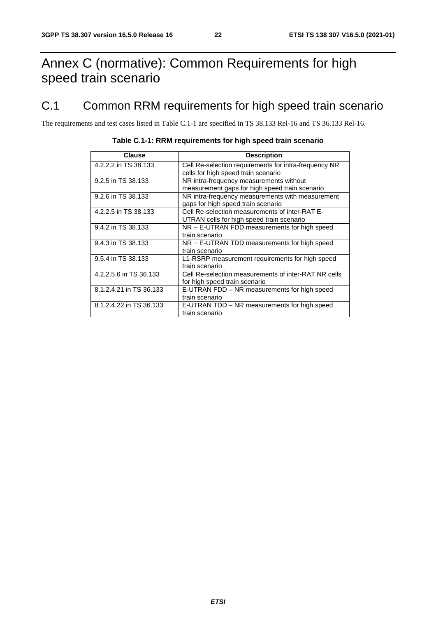### Annex C (normative): Common Requirements for high speed train scenario

### C.1 Common RRM requirements for high speed train scenario

The requirements and test cases listed in Table C.1-1 are specified in TS 38.133 Rel-16 and TS 36.133 Rel-16.

| Clause                  | <b>Description</b>                                    |
|-------------------------|-------------------------------------------------------|
| 4.2.2.2 in TS 38.133    | Cell Re-selection requirements for intra-frequency NR |
|                         | cells for high speed train scenario                   |
| 9.2.5 in TS 38.133      | NR intra-frequency measurements without               |
|                         | measurement gaps for high speed train scenario        |
| 9.2.6 in TS 38.133      | NR intra-frequency measurements with measurement      |
|                         | gaps for high speed train scenario                    |
| 4.2.2.5 in TS 38.133    | Cell Re-selection measurements of inter-RAT E-        |
|                         | UTRAN cells for high speed train scenario             |
| 9.4.2 in TS 38.133      | NR – E-UTRAN FDD measurements for high speed          |
|                         | train scenario                                        |
| 9.4.3 in TS 38.133      | NR – E-UTRAN TDD measurements for high speed          |
|                         | train scenario                                        |
| 9.5.4 in TS 38.133      | L1-RSRP measurement requirements for high speed       |
|                         | train scenario                                        |
| 4.2.2.5.6 in TS 36.133  | Cell Re-selection measurements of inter-RAT NR cells  |
|                         | for high speed train scenario                         |
| 8.1.2.4.21 in TS 36.133 | E-UTRAN FDD – NR measurements for high speed          |
|                         | train scenario                                        |
| 8.1.2.4.22 in TS 36.133 | E-UTRAN TDD - NR measurements for high speed          |
|                         | train scenario                                        |

#### **Table C.1-1: RRM requirements for high speed train scenario**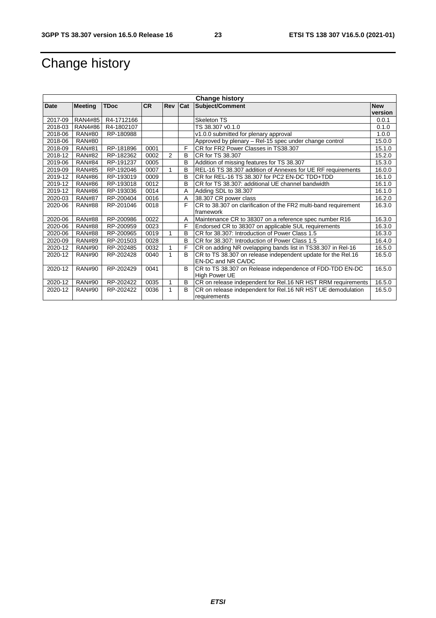## Change history

| <b>Change history</b> |                |             |           |         |   |                                                                 |            |
|-----------------------|----------------|-------------|-----------|---------|---|-----------------------------------------------------------------|------------|
| <b>Date</b>           | <b>Meeting</b> | <b>TDoc</b> | <b>CR</b> | Rev Cat |   | <b>Subject/Comment</b>                                          | <b>New</b> |
|                       |                |             |           |         |   |                                                                 | version    |
| 2017-09               | RAN4#85        | R4-1712166  |           |         |   | <b>Skeleton TS</b>                                              | 0.0.1      |
| 2018-03               | RAN4#86        | R4-1802107  |           |         |   | TS 38.307 v0.1.0                                                | 0.1.0      |
| 2018-06               | <b>RAN#80</b>  | RP-180988   |           |         |   | v1.0.0 submitted for plenary approval                           | 1.0.0      |
| 2018-06               | <b>RAN#80</b>  |             |           |         |   | Approved by plenary - Rel-15 spec under change control          | 15.0.0     |
| 2018-09               | <b>RAN#81</b>  | RP-181896   | 0001      |         | F | CR for FR2 Power Classes in TS38.307                            | 15.1.0     |
| 2018-12               | <b>RAN#82</b>  | RP-182362   | 0002      | 2       | B | CR for TS 38.307                                                | 15.2.0     |
| 2019-06               | <b>RAN#84</b>  | RP-191237   | 0005      |         | B | Addition of missing features for TS 38.307                      | 15.3.0     |
| 2019-09               | <b>RAN#85</b>  | RP-192046   | 0007      |         | B | REL-16 TS 38.307 addition of Annexes for UE RF requirements     | 16.0.0     |
| 2019-12               | <b>RAN#86</b>  | RP-193019   | 0009      |         | B | CR for REL-16 TS 38.307 for PC2 EN-DC TDD+TDD                   | 16.1.0     |
| 2019-12               | <b>RAN#86</b>  | RP-193018   | 0012      |         | B | CR for TS 38.307: additional UE channel bandwidth               | 16.1.0     |
| 2019-12               | <b>RAN#86</b>  | RP-193036   | 0014      |         | A | Adding SDL to 38.307                                            | 16.1.0     |
| 2020-03               | <b>RAN#87</b>  | RP-200404   | 0016      |         | A | 38.307 CR power class                                           | 16.2.0     |
| 2020-06               | <b>RAN#88</b>  | RP-201046   | 0018      |         | F | CR to 38.307 on clarification of the FR2 multi-band requirement | 16.3.0     |
|                       |                |             |           |         |   | framework                                                       |            |
| 2020-06               | <b>RAN#88</b>  | RP-200986   | 0022      |         | A | Maintenance CR to 38307 on a reference spec number R16          | 16.3.0     |
| 2020-06               | <b>RAN#88</b>  | RP-200959   | 0023      |         | F | Endorsed CR to 38307 on applicable SUL requirements             | 16.3.0     |
| 2020-06               | <b>RAN#88</b>  | RP-200965   | 0019      | 1       | B | CR for 38.307: Introduction of Power Class 1.5                  | 16.3.0     |
| 2020-09               | <b>RAN#89</b>  | RP-201503   | 0028      |         | B | CR for 38.307: Introduction of Power Class 1.5                  | 16.4.0     |
| 2020-12               | <b>RAN#90</b>  | RP-202485   | 0032      |         | F | CR on adding NR ovelapping bands list in TS38.307 in Rel-16     | 16.5.0     |
| 2020-12               | <b>RAN#90</b>  | RP-202428   | 0040      |         | B | CR to TS 38.307 on release independent update for the Rel.16    | 16.5.0     |
|                       |                |             |           |         |   | EN-DC and NR CA/DC                                              |            |
| 2020-12               | <b>RAN#90</b>  | RP-202429   | 0041      |         | B | CR to TS 38.307 on Release independence of FDD-TDD EN-DC        | 16.5.0     |
|                       |                |             |           |         |   | High Power UE                                                   |            |
| 2020-12               | <b>RAN#90</b>  | RP-202422   | 0035      | 1       | B | CR on release independent for Rel.16 NR HST RRM requirements    | 16.5.0     |
| 2020-12               | <b>RAN#90</b>  | RP-202422   | 0036      | 1       | B | CR on release independent for Rel.16 NR HST UE demodulation     | 16.5.0     |
|                       |                |             |           |         |   | requirements                                                    |            |